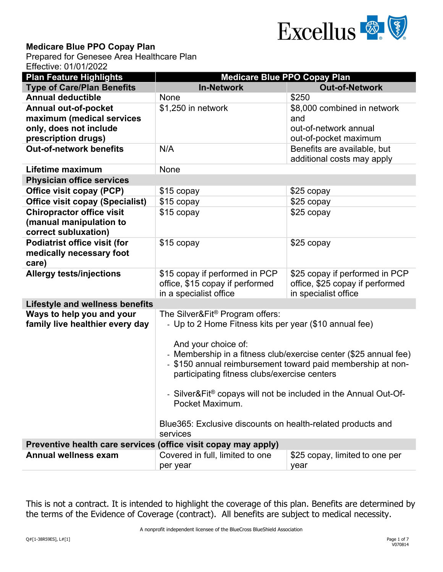

## **Medicare Blue PPO Copay Plan**

Prepared for Genesee Area Healthcare Plan Effective: 01/01/2022

| <b>Plan Feature Highlights</b>                                                      | <b>Medicare Blue PPO Copay Plan</b>                                                                                                                                                                                                                                                                                                                                                                                                                                  |                                                                                           |  |  |
|-------------------------------------------------------------------------------------|----------------------------------------------------------------------------------------------------------------------------------------------------------------------------------------------------------------------------------------------------------------------------------------------------------------------------------------------------------------------------------------------------------------------------------------------------------------------|-------------------------------------------------------------------------------------------|--|--|
| <b>Type of Care/Plan Benefits</b>                                                   | <b>In-Network</b>                                                                                                                                                                                                                                                                                                                                                                                                                                                    | <b>Out-of-Network</b>                                                                     |  |  |
| <b>Annual deductible</b>                                                            | None                                                                                                                                                                                                                                                                                                                                                                                                                                                                 | \$250                                                                                     |  |  |
| <b>Annual out-of-pocket</b>                                                         | \$1,250 in network                                                                                                                                                                                                                                                                                                                                                                                                                                                   | \$8,000 combined in network                                                               |  |  |
| maximum (medical services                                                           |                                                                                                                                                                                                                                                                                                                                                                                                                                                                      | and                                                                                       |  |  |
| only, does not include                                                              |                                                                                                                                                                                                                                                                                                                                                                                                                                                                      | out-of-network annual                                                                     |  |  |
| prescription drugs)                                                                 |                                                                                                                                                                                                                                                                                                                                                                                                                                                                      | out-of-pocket maximum                                                                     |  |  |
| <b>Out-of-network benefits</b>                                                      | N/A                                                                                                                                                                                                                                                                                                                                                                                                                                                                  | Benefits are available, but<br>additional costs may apply                                 |  |  |
| Lifetime maximum                                                                    | None                                                                                                                                                                                                                                                                                                                                                                                                                                                                 |                                                                                           |  |  |
| <b>Physician office services</b>                                                    |                                                                                                                                                                                                                                                                                                                                                                                                                                                                      |                                                                                           |  |  |
| Office visit copay (PCP)                                                            | \$15 copay                                                                                                                                                                                                                                                                                                                                                                                                                                                           | \$25 copay                                                                                |  |  |
| <b>Office visit copay (Specialist)</b>                                              | \$15 copay                                                                                                                                                                                                                                                                                                                                                                                                                                                           | \$25 copay                                                                                |  |  |
| <b>Chiropractor office visit</b><br>(manual manipulation to<br>correct subluxation) | \$15 copay                                                                                                                                                                                                                                                                                                                                                                                                                                                           | \$25 copay                                                                                |  |  |
| <b>Podiatrist office visit (for</b><br>medically necessary foot<br>care)            | \$15 copay                                                                                                                                                                                                                                                                                                                                                                                                                                                           | \$25 copay                                                                                |  |  |
| <b>Allergy tests/injections</b>                                                     | \$15 copay if performed in PCP<br>office, \$15 copay if performed<br>in a specialist office                                                                                                                                                                                                                                                                                                                                                                          | \$25 copay if performed in PCP<br>office, \$25 copay if performed<br>in specialist office |  |  |
| <b>Lifestyle and wellness benefits</b>                                              |                                                                                                                                                                                                                                                                                                                                                                                                                                                                      |                                                                                           |  |  |
| Ways to help you and your<br>family live healthier every day                        | The Silver&Fit® Program offers:<br>- Up to 2 Home Fitness kits per year (\$10 annual fee)<br>And your choice of:<br>- Membership in a fitness club/exercise center (\$25 annual fee)<br>- \$150 annual reimbursement toward paid membership at non-<br>participating fitness clubs/exercise centers<br>- Silver&Fit® copays will not be included in the Annual Out-Of-<br>Pocket Maximum.<br>Blue365: Exclusive discounts on health-related products and<br>services |                                                                                           |  |  |
| Preventive health care services (office visit copay may apply)                      |                                                                                                                                                                                                                                                                                                                                                                                                                                                                      |                                                                                           |  |  |
| <b>Annual wellness exam</b>                                                         | Covered in full, limited to one                                                                                                                                                                                                                                                                                                                                                                                                                                      | \$25 copay, limited to one per                                                            |  |  |
|                                                                                     | per year                                                                                                                                                                                                                                                                                                                                                                                                                                                             | year                                                                                      |  |  |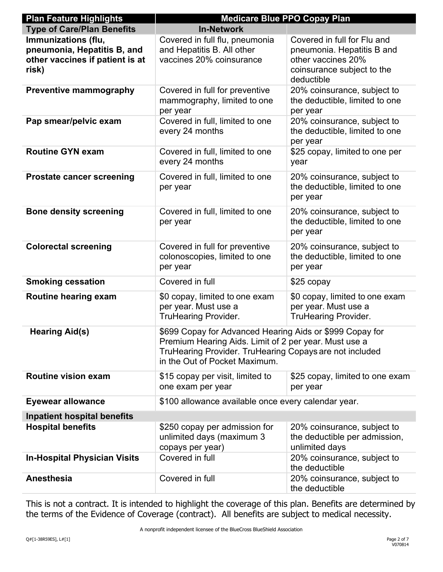| <b>Plan Feature Highlights</b>                                                                 | <b>Medicare Blue PPO Copay Plan</b>                                                                                                                                                                           |                                                                                                                             |  |
|------------------------------------------------------------------------------------------------|---------------------------------------------------------------------------------------------------------------------------------------------------------------------------------------------------------------|-----------------------------------------------------------------------------------------------------------------------------|--|
| <b>Type of Care/Plan Benefits</b>                                                              | <b>In-Network</b>                                                                                                                                                                                             |                                                                                                                             |  |
| Immunizations (flu,<br>pneumonia, Hepatitis B, and<br>other vaccines if patient is at<br>risk) | Covered in full flu, pneumonia<br>and Hepatitis B. All other<br>vaccines 20% coinsurance                                                                                                                      | Covered in full for Flu and<br>pneumonia. Hepatitis B and<br>other vaccines 20%<br>coinsurance subject to the<br>deductible |  |
| <b>Preventive mammography</b>                                                                  | Covered in full for preventive<br>mammography, limited to one<br>per year                                                                                                                                     | 20% coinsurance, subject to<br>the deductible, limited to one<br>per year                                                   |  |
| Pap smear/pelvic exam                                                                          | Covered in full, limited to one<br>every 24 months                                                                                                                                                            | 20% coinsurance, subject to<br>the deductible, limited to one<br>per year                                                   |  |
| <b>Routine GYN exam</b>                                                                        | Covered in full, limited to one<br>every 24 months                                                                                                                                                            | \$25 copay, limited to one per<br>year                                                                                      |  |
| <b>Prostate cancer screening</b>                                                               | Covered in full, limited to one<br>per year                                                                                                                                                                   | 20% coinsurance, subject to<br>the deductible, limited to one<br>per year                                                   |  |
| <b>Bone density screening</b>                                                                  | Covered in full, limited to one<br>per year                                                                                                                                                                   | 20% coinsurance, subject to<br>the deductible, limited to one<br>per year                                                   |  |
| <b>Colorectal screening</b>                                                                    | Covered in full for preventive<br>colonoscopies, limited to one<br>per year                                                                                                                                   | 20% coinsurance, subject to<br>the deductible, limited to one<br>per year                                                   |  |
| <b>Smoking cessation</b>                                                                       | Covered in full                                                                                                                                                                                               | \$25 copay                                                                                                                  |  |
| Routine hearing exam                                                                           | \$0 copay, limited to one exam<br>per year. Must use a<br><b>TruHearing Provider.</b>                                                                                                                         | \$0 copay, limited to one exam<br>per year. Must use a<br><b>TruHearing Provider.</b>                                       |  |
| <b>Hearing Aid(s)</b>                                                                          | \$699 Copay for Advanced Hearing Aids or \$999 Copay for<br>Premium Hearing Aids. Limit of 2 per year. Must use a<br>TruHearing Provider. TruHearing Copays are not included<br>in the Out of Pocket Maximum. |                                                                                                                             |  |
| <b>Routine vision exam</b>                                                                     | \$15 copay per visit, limited to<br>one exam per year                                                                                                                                                         | \$25 copay, limited to one exam<br>per year                                                                                 |  |
| <b>Eyewear allowance</b>                                                                       | \$100 allowance available once every calendar year.                                                                                                                                                           |                                                                                                                             |  |
| <b>Inpatient hospital benefits</b>                                                             |                                                                                                                                                                                                               |                                                                                                                             |  |
| <b>Hospital benefits</b>                                                                       | \$250 copay per admission for<br>unlimited days (maximum 3<br>copays per year)                                                                                                                                | 20% coinsurance, subject to<br>the deductible per admission,<br>unlimited days                                              |  |
| <b>In-Hospital Physician Visits</b>                                                            | Covered in full                                                                                                                                                                                               | 20% coinsurance, subject to<br>the deductible                                                                               |  |
| Anesthesia                                                                                     | Covered in full                                                                                                                                                                                               | 20% coinsurance, subject to<br>the deductible                                                                               |  |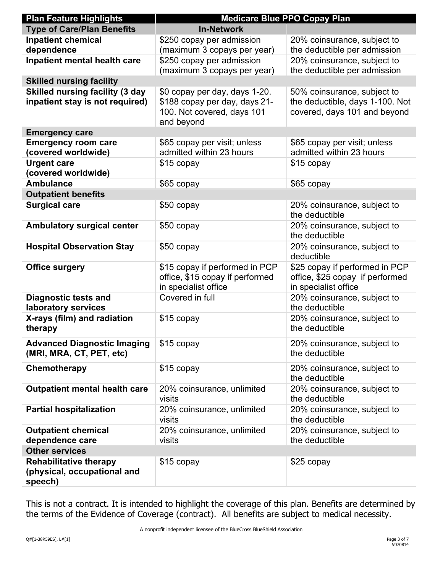| <b>Plan Feature Highlights</b>         | <b>Medicare Blue PPO Copay Plan</b> |                                           |  |
|----------------------------------------|-------------------------------------|-------------------------------------------|--|
| <b>Type of Care/Plan Benefits</b>      | <b>In-Network</b>                   |                                           |  |
| <b>Inpatient chemical</b>              | \$250 copay per admission           | 20% coinsurance, subject to               |  |
| dependence                             | (maximum 3 copays per year)         | the deductible per admission              |  |
| Inpatient mental health care           | \$250 copay per admission           | 20% coinsurance, subject to               |  |
|                                        | (maximum 3 copays per year)         | the deductible per admission              |  |
| <b>Skilled nursing facility</b>        |                                     |                                           |  |
| <b>Skilled nursing facility (3 day</b> | \$0 copay per day, days 1-20.       | 50% coinsurance, subject to               |  |
| inpatient stay is not required)        | \$188 copay per day, days 21-       | the deductible, days 1-100. Not           |  |
|                                        | 100. Not covered, days 101          | covered, days 101 and beyond              |  |
| <b>Emergency care</b>                  | and beyond                          |                                           |  |
| <b>Emergency room care</b>             | \$65 copay per visit; unless        | \$65 copay per visit; unless              |  |
| (covered worldwide)                    | admitted within 23 hours            | admitted within 23 hours                  |  |
| <b>Urgent care</b>                     | \$15 copay                          | \$15 copay                                |  |
| (covered worldwide)                    |                                     |                                           |  |
| <b>Ambulance</b>                       | \$65 copay                          | \$65 copay                                |  |
| <b>Outpatient benefits</b>             |                                     |                                           |  |
| <b>Surgical care</b>                   | \$50 copay                          | 20% coinsurance, subject to               |  |
|                                        |                                     | the deductible                            |  |
| <b>Ambulatory surgical center</b>      | \$50 copay                          | 20% coinsurance, subject to               |  |
|                                        |                                     | the deductible                            |  |
| <b>Hospital Observation Stay</b>       | \$50 copay                          | 20% coinsurance, subject to<br>deductible |  |
| <b>Office surgery</b>                  | \$15 copay if performed in PCP      | \$25 copay if performed in PCP            |  |
|                                        | office, \$15 copay if performed     | office, \$25 copay if performed           |  |
|                                        | in specialist office                | in specialist office                      |  |
| <b>Diagnostic tests and</b>            | Covered in full                     | 20% coinsurance, subject to               |  |
| laboratory services                    |                                     | the deductible                            |  |
| X-rays (film) and radiation            | \$15 copay                          | 20% coinsurance, subject to               |  |
| therapy                                |                                     | the deductible                            |  |
| <b>Advanced Diagnostic Imaging</b>     | \$15 copay                          | 20% coinsurance, subject to               |  |
| (MRI, MRA, CT, PET, etc)               |                                     | the deductible                            |  |
| Chemotherapy                           | \$15 copay                          | 20% coinsurance, subject to               |  |
|                                        |                                     | the deductible                            |  |
| <b>Outpatient mental health care</b>   | 20% coinsurance, unlimited          | 20% coinsurance, subject to               |  |
|                                        | visits                              | the deductible                            |  |
| <b>Partial hospitalization</b>         | 20% coinsurance, unlimited          | 20% coinsurance, subject to               |  |
|                                        | visits                              | the deductible                            |  |
| <b>Outpatient chemical</b>             | 20% coinsurance, unlimited          | 20% coinsurance, subject to               |  |
| dependence care                        | visits                              | the deductible                            |  |
| <b>Other services</b>                  |                                     |                                           |  |
| <b>Rehabilitative therapy</b>          | \$15 copay                          | \$25 copay                                |  |
| (physical, occupational and<br>speech) |                                     |                                           |  |
|                                        |                                     |                                           |  |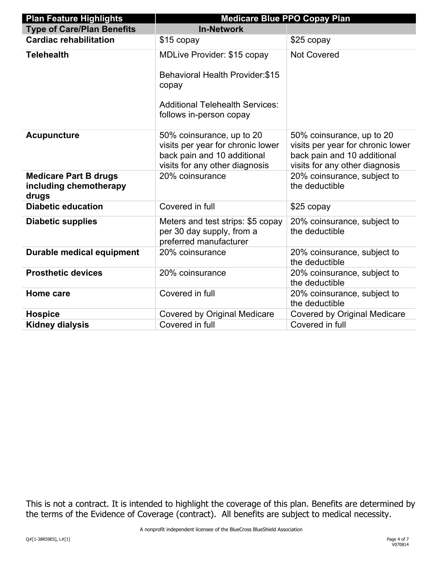| <b>Plan Feature Highlights</b>                                  | <b>Medicare Blue PPO Copay Plan</b>                                                                                                                         |                                                                                                                                 |  |
|-----------------------------------------------------------------|-------------------------------------------------------------------------------------------------------------------------------------------------------------|---------------------------------------------------------------------------------------------------------------------------------|--|
| <b>Type of Care/Plan Benefits</b>                               | <b>In-Network</b>                                                                                                                                           |                                                                                                                                 |  |
| <b>Cardiac rehabilitation</b>                                   | \$15 copay                                                                                                                                                  | \$25 copay                                                                                                                      |  |
| <b>Telehealth</b>                                               | <b>MDLive Provider: \$15 copay</b><br><b>Behavioral Health Provider: \$15</b><br>copay<br><b>Additional Telehealth Services:</b><br>follows in-person copay | <b>Not Covered</b>                                                                                                              |  |
| <b>Acupuncture</b>                                              | 50% coinsurance, up to 20<br>visits per year for chronic lower<br>back pain and 10 additional<br>visits for any other diagnosis                             | 50% coinsurance, up to 20<br>visits per year for chronic lower<br>back pain and 10 additional<br>visits for any other diagnosis |  |
| <b>Medicare Part B drugs</b><br>including chemotherapy<br>drugs | 20% coinsurance                                                                                                                                             | 20% coinsurance, subject to<br>the deductible                                                                                   |  |
| <b>Diabetic education</b>                                       | Covered in full                                                                                                                                             | \$25 copay                                                                                                                      |  |
| <b>Diabetic supplies</b>                                        | Meters and test strips: \$5 copay<br>per 30 day supply, from a<br>preferred manufacturer                                                                    | 20% coinsurance, subject to<br>the deductible                                                                                   |  |
| <b>Durable medical equipment</b>                                | 20% coinsurance                                                                                                                                             | 20% coinsurance, subject to<br>the deductible                                                                                   |  |
| <b>Prosthetic devices</b>                                       | 20% coinsurance                                                                                                                                             | 20% coinsurance, subject to<br>the deductible                                                                                   |  |
| Home care                                                       | Covered in full                                                                                                                                             | 20% coinsurance, subject to<br>the deductible                                                                                   |  |
| <b>Hospice</b>                                                  | <b>Covered by Original Medicare</b>                                                                                                                         | <b>Covered by Original Medicare</b>                                                                                             |  |
| <b>Kidney dialysis</b>                                          | Covered in full                                                                                                                                             | Covered in full                                                                                                                 |  |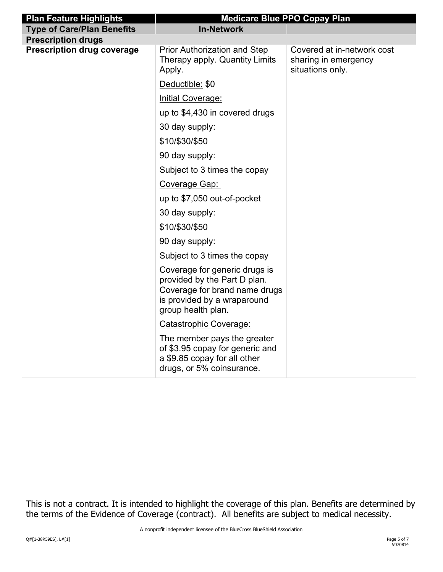| <b>Plan Feature Highlights</b>    | <b>Medicare Blue PPO Copay Plan</b>                                                                                                                 |                                                                        |
|-----------------------------------|-----------------------------------------------------------------------------------------------------------------------------------------------------|------------------------------------------------------------------------|
| <b>Type of Care/Plan Benefits</b> | <b>In-Network</b>                                                                                                                                   |                                                                        |
| <b>Prescription drugs</b>         |                                                                                                                                                     |                                                                        |
| <b>Prescription drug coverage</b> | <b>Prior Authorization and Step</b><br>Therapy apply. Quantity Limits<br>Apply.                                                                     | Covered at in-network cost<br>sharing in emergency<br>situations only. |
|                                   | Deductible: \$0                                                                                                                                     |                                                                        |
|                                   | <b>Initial Coverage:</b>                                                                                                                            |                                                                        |
|                                   | up to \$4,430 in covered drugs                                                                                                                      |                                                                        |
|                                   | 30 day supply:                                                                                                                                      |                                                                        |
|                                   | \$10/\$30/\$50                                                                                                                                      |                                                                        |
|                                   | 90 day supply:                                                                                                                                      |                                                                        |
|                                   | Subject to 3 times the copay                                                                                                                        |                                                                        |
|                                   | Coverage Gap:                                                                                                                                       |                                                                        |
|                                   | up to \$7,050 out-of-pocket                                                                                                                         |                                                                        |
|                                   | 30 day supply:                                                                                                                                      |                                                                        |
|                                   | \$10/\$30/\$50                                                                                                                                      |                                                                        |
|                                   | 90 day supply:                                                                                                                                      |                                                                        |
|                                   | Subject to 3 times the copay                                                                                                                        |                                                                        |
|                                   | Coverage for generic drugs is<br>provided by the Part D plan.<br>Coverage for brand name drugs<br>is provided by a wraparound<br>group health plan. |                                                                        |
|                                   | Catastrophic Coverage:                                                                                                                              |                                                                        |
|                                   | The member pays the greater<br>of \$3.95 copay for generic and<br>a \$9.85 copay for all other<br>drugs, or 5% coinsurance.                         |                                                                        |